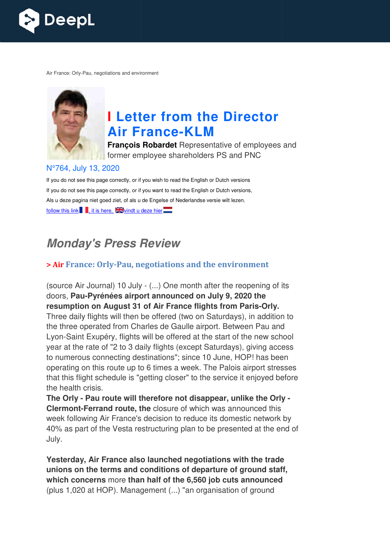

Air France: Orly-Pau, negotiations and environment



# **I Letter from the Director Air France France-KLM**

**François Robardet** Representative of employees and former employee shareholders PS and PNC

#### N°764, July 13, 2020

If you do not see this page correctly, or if you wish to read the English or Dutch versions If you do not see this page correctly, or if you want to read the English or Dutch versions, Als u deze pagina niet goed ziet, of als u de Engelse of Nederlandse versie wilt lezen, follow this link  $\blacksquare$ , it is here,  $\square$  windt u deze hier $\square$ 

## **Monday's Press Review**

#### **> Air France: Orly-Pau, negotiations and the environment Pau,**

(source Air Journal) 10 July - (...) One month after the reopening of its doors, **Pau-Pyrénées airport announced on July 9, 2020 the**  doors, **Pau-Pyrénées airport announced on July 9, 2020 the<br>resumption on August 31 of Air France flights from Paris-Orly.** Three daily flights will then be offered (two on Saturdays), in addition to the three operated from Charles de Gaulle airport. Between Pau and Lyon-Saint Exupéry, flights will be offered at the start of the new school Lyon-Saint Exupéry, flights will be offered at the start of the new school<br>year at the rate of "2 to 3 daily flights (except Saturdays), giving access to numerous connecting destinations"; since 10 June, HOP! has been operating on this route up to 6 times a week. The Palois airport stresses that this flight schedule is "getting closer" to the service it enjoyed before the health crisis.

**The Orly - Pau route will therefore not disappear, unlike the Orly Clermont-Ferrand route, the closure of which was announced this** week following Air France's decision to reduce its domestic network by 40% as part of the Vesta restructuring plan to be presented at the end of July. "2 to 3 daily flights (except Saturdays), giving access<br>ecting destinations"; since 10 June, HOP! has been<br>oute up to 6 times a week. The Palois airport stresse<br>edule is "getting closer" to the service it enjoyed befor<br>out

**Yesterday, Air France also launched negotiations with the trade unions on the terms and conditions of departure of ground staff, which concerns** more **than half of the 6,560 job cuts announced** (plus 1,020 at HOP). Management (...) "an organisation of ground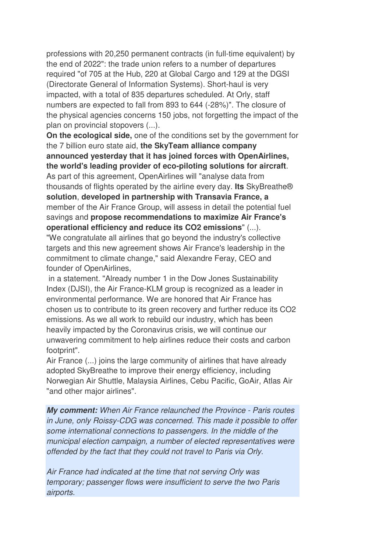professions with 20,250 permanent contracts (in full-time equivalent) by the end of 2022": the trade union refers to a number of departures required "of 705 at the Hub, 220 at Global Cargo and 129 at the DGSI (Directorate General of Information Systems). Short-haul is very impacted, with a total of 835 departures scheduled. At Orly, staff numbers are expected to fall from 893 to 644 (-28%)". The closure of the physical agencies concerns 150 jobs, not forgetting the impact of the plan on provincial stopovers (...).

**On the ecological side,** one of the conditions set by the government for the 7 billion euro state aid, **the SkyTeam alliance company announced yesterday that it has joined forces with OpenAirlines, the world's leading provider of eco-piloting solutions for aircraft**. As part of this agreement, OpenAirlines will "analyse data from thousands of flights operated by the airline every day. **Its** SkyBreathe® **solution**, **developed in partnership with Transavia France, a** member of the Air France Group, will assess in detail the potential fuel savings and **propose recommendations to maximize Air France's operational efficiency and reduce its CO2 emissions**" (...). "We congratulate all airlines that go beyond the industry's collective

targets and this new agreement shows Air France's leadership in the commitment to climate change," said Alexandre Feray, CEO and founder of OpenAirlines,

 in a statement. "Already number 1 in the Dow Jones Sustainability Index (DJSI), the Air France-KLM group is recognized as a leader in environmental performance. We are honored that Air France has chosen us to contribute to its green recovery and further reduce its CO2 emissions. As we all work to rebuild our industry, which has been heavily impacted by the Coronavirus crisis, we will continue our unwavering commitment to help airlines reduce their costs and carbon footprint".

Air France (...) joins the large community of airlines that have already adopted SkyBreathe to improve their energy efficiency, including Norwegian Air Shuttle, Malaysia Airlines, Cebu Pacific, GoAir, Atlas Air "and other major airlines".

**My comment:** *When Air France relaunched the Province - Paris routes in June, only Roissy-CDG was concerned. This made it possible to offer some international connections to passengers. In the middle of the municipal election campaign, a number of elected representatives were offended by the fact that they could not travel to Paris via Orly.* 

*Air France had indicated at the time that not serving Orly was temporary; passenger flows were insufficient to serve the two Paris airports.*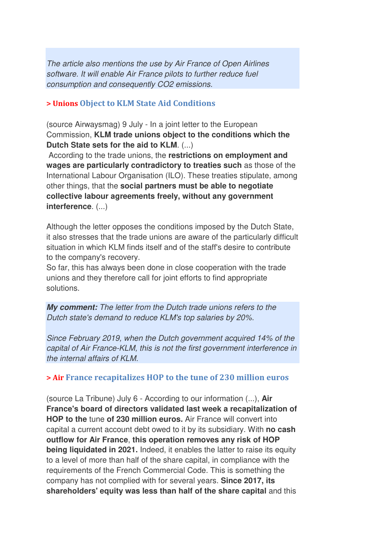*The article also mentions the use by Air France of Open Airlines software. It will enable Air France pilots to further reduce fuel consumption and consequently CO2 emissions.*

#### **> Unions Object to KLM State Aid Conditions**

(source Airwaysmag) 9 July - In a joint letter to the European Commission, **KLM trade unions object to the conditions which the Dutch State sets for the aid to KLM**. (...)

 According to the trade unions, the **restrictions on employment and wages are particularly contradictory to treaties such** as those of the International Labour Organisation (ILO). These treaties stipulate, among other things, that the **social partners must be able to negotiate collective labour agreements freely, without any government interference**. (...)

Although the letter opposes the conditions imposed by the Dutch State, it also stresses that the trade unions are aware of the particularly difficult situation in which KLM finds itself and of the staff's desire to contribute to the company's recovery.

So far, this has always been done in close cooperation with the trade unions and they therefore call for joint efforts to find appropriate solutions.

**My comment:** *The letter from the Dutch trade unions refers to the Dutch state's demand to reduce KLM's top salaries by 20%.* 

*Since February 2019, when the Dutch government acquired 14% of the capital of Air France-KLM, this is not the first government interference in the internal affairs of KLM.*

#### **> Air France recapitalizes HOP to the tune of 230 million euros**

(source La Tribune) July 6 - According to our information (...), **Air France's board of directors validated last week a recapitalization of HOP to the** tune **of 230 million euros.** Air France will convert into capital a current account debt owed to it by its subsidiary. With **no cash outflow for Air France**, **this operation removes any risk of HOP being liquidated in 2021.** Indeed, it enables the latter to raise its equity to a level of more than half of the share capital, in compliance with the requirements of the French Commercial Code. This is something the company has not complied with for several years. **Since 2017, its shareholders' equity was less than half of the share capital** and this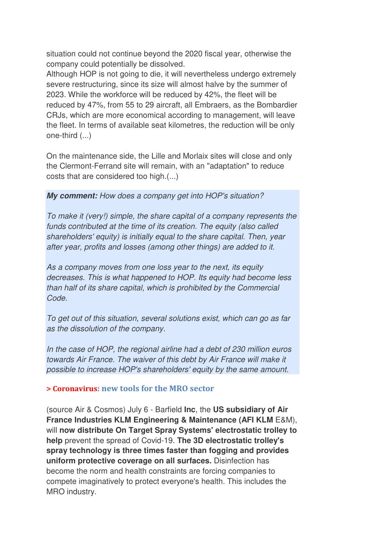situation could not continue beyond the 2020 fiscal year, otherwise the company could potentially be dissolved.

Although HOP is not going to die, it will nevertheless undergo extremely severe restructuring, since its size will almost halve by the summer of 2023. While the workforce will be reduced by 42%, the fleet will be reduced by 47%, from 55 to 29 aircraft, all Embraers, as the Bombardier CRJs, which are more economical according to management, will leave the fleet. In terms of available seat kilometres, the reduction will be only one-third (...)

On the maintenance side, the Lille and Morlaix sites will close and only the Clermont-Ferrand site will remain, with an "adaptation" to reduce costs that are considered too high.(...)

#### **My comment:** *How does a company get into HOP's situation?*

*To make it (very!) simple, the share capital of a company represents the funds contributed at the time of its creation. The equity (also called shareholders' equity) is initially equal to the share capital. Then, year after year, profits and losses (among other things) are added to it.* 

*As a company moves from one loss year to the next, its equity decreases. This is what happened to HOP. Its equity had become less than half of its share capital, which is prohibited by the Commercial Code.* 

*To get out of this situation, several solutions exist, which can go as far as the dissolution of the company.* 

*In the case of HOP, the regional airline had a debt of 230 million euros towards Air France. The waiver of this debt by Air France will make it possible to increase HOP's shareholders' equity by the same amount.*

#### **> Coronavirus: new tools for the MRO sector**

(source Air & Cosmos) July 6 - Barfield **Inc**, the **US subsidiary of Air France Industries KLM Engineering & Maintenance (AFI KLM** E&M), will **now distribute On Target Spray Systems' electrostatic trolley to help** prevent the spread of Covid-19. **The 3D electrostatic trolley's spray technology is three times faster than fogging and provides uniform protective coverage on all surfaces.** Disinfection has become the norm and health constraints are forcing companies to compete imaginatively to protect everyone's health. This includes the MRO industry.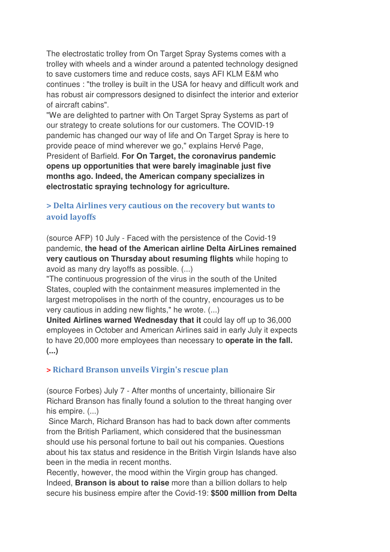The electrostatic trolley from On Target Spray Systems comes with a trolley with wheels and a winder around a patented technology designed to save customers time and reduce costs, says AFI KLM E&M who continues : "the trolley is built in the USA for heavy and difficult work and has robust air compressors designed to disinfect the interior and exterior of aircraft cabins".

"We are delighted to partner with On Target Spray Systems as part of our strategy to create solutions for our customers. The COVID-19 pandemic has changed our way of life and On Target Spray is here to provide peace of mind wherever we go," explains Hervé Page, President of Barfield. **For On Target, the coronavirus pandemic opens up opportunities that were barely imaginable just five months ago. Indeed, the American company specializes in electrostatic spraying technology for agriculture.**

### **> Delta Airlines very cautious on the recovery but wants to avoid layoffs**

(source AFP) 10 July - Faced with the persistence of the Covid-19 pandemic, **the head of the American airline Delta AirLines remained very cautious on Thursday about resuming flights** while hoping to avoid as many dry layoffs as possible. (...)

"The continuous progression of the virus in the south of the United States, coupled with the containment measures implemented in the largest metropolises in the north of the country, encourages us to be very cautious in adding new flights," he wrote. (...)

**United Airlines warned Wednesday that it** could lay off up to 36,000 employees in October and American Airlines said in early July it expects to have 20,000 more employees than necessary to **operate in the fall. (...)**

### **> Richard Branson unveils Virgin's rescue plan**

(source Forbes) July 7 - After months of uncertainty, billionaire Sir Richard Branson has finally found a solution to the threat hanging over his empire.  $(...)$ 

 Since March, Richard Branson has had to back down after comments from the British Parliament, which considered that the businessman should use his personal fortune to bail out his companies. Questions about his tax status and residence in the British Virgin Islands have also been in the media in recent months.

Recently, however, the mood within the Virgin group has changed. Indeed, **Branson is about to raise** more than a billion dollars to help secure his business empire after the Covid-19: **\$500 million from Delta**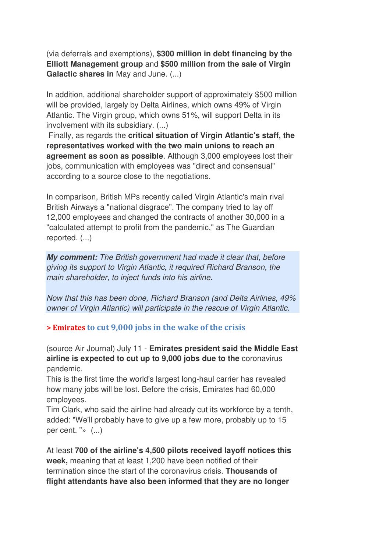(via deferrals and exemptions), **\$300 million in debt financing by the Elliott Management group** and **\$500 million from the sale of Virgin Galactic shares in** May and June. (...)

In addition, additional shareholder support of approximately \$500 million will be provided, largely by Delta Airlines, which owns 49% of Virgin Atlantic. The Virgin group, which owns 51%, will support Delta in its involvement with its subsidiary. (...)

 Finally, as regards the **critical situation of Virgin Atlantic's staff, the representatives worked with the two main unions to reach an agreement as soon as possible**. Although 3,000 employees lost their jobs, communication with employees was "direct and consensual" according to a source close to the negotiations.

In comparison, British MPs recently called Virgin Atlantic's main rival British Airways a "national disgrace". The company tried to lay off 12,000 employees and changed the contracts of another 30,000 in a "calculated attempt to profit from the pandemic," as The Guardian reported. (...)

**My comment:** *The British government had made it clear that, before giving its support to Virgin Atlantic, it required Richard Branson, the main shareholder, to inject funds into his airline.*

*Now that this has been done, Richard Branson (and Delta Airlines, 49% owner of Virgin Atlantic) will participate in the rescue of Virgin Atlantic.* 

**> Emirates to cut 9,000 jobs in the wake of the crisis**

(source Air Journal) July 11 - **Emirates president said the Middle East airline is expected to cut up to 9,000 jobs due to the** coronavirus pandemic.

This is the first time the world's largest long-haul carrier has revealed how many jobs will be lost. Before the crisis, Emirates had 60,000 employees.

Tim Clark, who said the airline had already cut its workforce by a tenth, added: "We'll probably have to give up a few more, probably up to 15 per cent. "» (...)

At least **700 of the airline's 4,500 pilots received layoff notices this week,** meaning that at least 1,200 have been notified of their termination since the start of the coronavirus crisis. **Thousands of flight attendants have also been informed that they are no longer**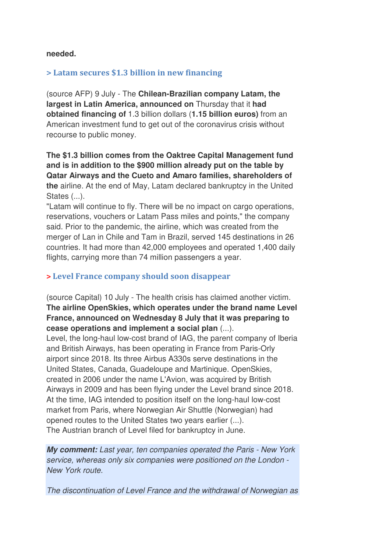#### **needed.**

#### **> Latam secures \$1.3 billion in new financing**

(source AFP) 9 July - The **Chilean-Brazilian company Latam, the largest in Latin America, announced on** Thursday that it **had obtained financing of** 1.3 billion dollars (**1.15 billion euros)** from an American investment fund to get out of the coronavirus crisis without recourse to public money.

**The \$1.3 billion comes from the Oaktree Capital Management fund and is in addition to the \$900 million already put on the table by Qatar Airways and the Cueto and Amaro families, shareholders of the** airline. At the end of May, Latam declared bankruptcy in the United States  $(...)$ .

"Latam will continue to fly. There will be no impact on cargo operations, reservations, vouchers or Latam Pass miles and points," the company said. Prior to the pandemic, the airline, which was created from the merger of Lan in Chile and Tam in Brazil, served 145 destinations in 26 countries. It had more than 42,000 employees and operated 1,400 daily flights, carrying more than 74 million passengers a year.

#### **> Level France company should soon disappear**

(source Capital) 10 July - The health crisis has claimed another victim. **The airline OpenSkies, which operates under the brand name Level France, announced on Wednesday 8 July that it was preparing to cease operations and implement a social plan** (...).

Level, the long-haul low-cost brand of IAG, the parent company of Iberia and British Airways, has been operating in France from Paris-Orly airport since 2018. Its three Airbus A330s serve destinations in the United States, Canada, Guadeloupe and Martinique. OpenSkies, created in 2006 under the name L'Avion, was acquired by British Airways in 2009 and has been flying under the Level brand since 2018. At the time, IAG intended to position itself on the long-haul low-cost market from Paris, where Norwegian Air Shuttle (Norwegian) had opened routes to the United States two years earlier (...). The Austrian branch of Level filed for bankruptcy in June.

**My comment:** *Last year, ten companies operated the Paris - New York service, whereas only six companies were positioned on the London - New York route.* 

*The discontinuation of Level France and the withdrawal of Norwegian as*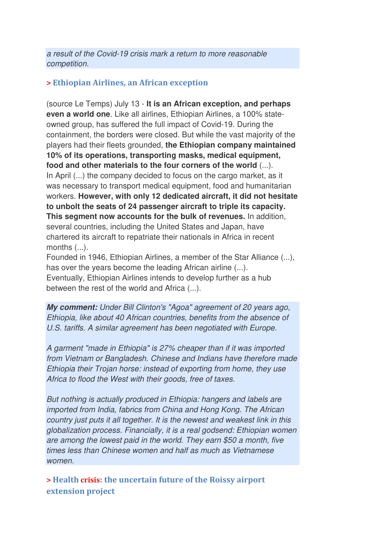*a result of the Covid-19 crisis mark a return to more reasonable competition.*

#### **> Ethiopian Airlines, an African exception**

(source Le Temps) July 13 - **It is an African exception, and perhaps even a world one**. Like all airlines, Ethiopian Airlines, a 100% stateowned group, has suffered the full impact of Covid-19. During the containment, the borders were closed. But while the vast majority of the players had their fleets grounded, **the Ethiopian company maintained 10% of its operations, transporting masks, medical equipment, food and other materials to the four corners of the world** (...). In April (...) the company decided to focus on the cargo market, as it was necessary to transport medical equipment, food and humanitarian workers. **However, with only 12 dedicated aircraft, it did not hesitate to unbolt the seats of 24 passenger aircraft to triple its capacity. This segment now accounts for the bulk of revenues.** In addition, several countries, including the United States and Japan, have chartered its aircraft to repatriate their nationals in Africa in recent months (...).

Founded in 1946, Ethiopian Airlines, a member of the Star Alliance (...), has over the years become the leading African airline (...). Eventually, Ethiopian Airlines intends to develop further as a hub between the rest of the world and Africa (...).

**My comment:** *Under Bill Clinton's "Agoa" agreement of 20 years ago, Ethiopia, like about 40 African countries, benefits from the absence of U.S. tariffs. A similar agreement has been negotiated with Europe.* 

*A garment "made in Ethiopia" is 27% cheaper than if it was imported from Vietnam or Bangladesh. Chinese and Indians have therefore made Ethiopia their Trojan horse: instead of exporting from home, they use Africa to flood the West with their goods, free of taxes.* 

*But nothing is actually produced in Ethiopia: hangers and labels are imported from India, fabrics from China and Hong Kong. The African country just puts it all together. It is the newest and weakest link in this globalization process. Financially, it is a real godsend: Ethiopian women are among the lowest paid in the world. They earn \$50 a month, five times less than Chinese women and half as much as Vietnamese women.* 

**> Health crisis: the uncertain future of the Roissy airport extension project**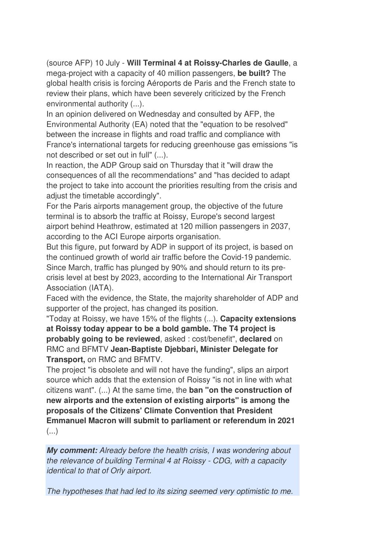(source AFP) 10 July - **Will Terminal 4 at Roissy-Charles de Gaulle**, a mega-project with a capacity of 40 million passengers, **be built?** The global health crisis is forcing Aéroports de Paris and the French state to review their plans, which have been severely criticized by the French environmental authority (...).

In an opinion delivered on Wednesday and consulted by AFP, the Environmental Authority (EA) noted that the "equation to be resolved" between the increase in flights and road traffic and compliance with France's international targets for reducing greenhouse gas emissions "is not described or set out in full" (...).

In reaction, the ADP Group said on Thursday that it "will draw the consequences of all the recommendations" and "has decided to adapt the project to take into account the priorities resulting from the crisis and adjust the timetable accordingly".

For the Paris airports management group, the objective of the future terminal is to absorb the traffic at Roissy, Europe's second largest airport behind Heathrow, estimated at 120 million passengers in 2037, according to the ACI Europe airports organisation.

But this figure, put forward by ADP in support of its project, is based on the continued growth of world air traffic before the Covid-19 pandemic. Since March, traffic has plunged by 90% and should return to its precrisis level at best by 2023, according to the International Air Transport Association (IATA).

Faced with the evidence, the State, the majority shareholder of ADP and supporter of the project, has changed its position.

"Today at Roissy, we have 15% of the flights (...). **Capacity extensions at Roissy today appear to be a bold gamble. The T4 project is probably going to be reviewed**, asked : cost/benefit", **declared** on RMC and BFMTV **Jean-Baptiste Djebbari, Minister Delegate for Transport,** on RMC and BFMTV.

The project "is obsolete and will not have the funding", slips an airport source which adds that the extension of Roissy "is not in line with what citizens want". (...) At the same time, the **ban "on the construction of new airports and the extension of existing airports" is among the proposals of the Citizens' Climate Convention that President Emmanuel Macron will submit to parliament or referendum in 2021**  $($ ...)

**My comment:** *Already before the health crisis, I was wondering about the relevance of building Terminal 4 at Roissy - CDG, with a capacity identical to that of Orly airport.* 

*The hypotheses that had led to its sizing seemed very optimistic to me.*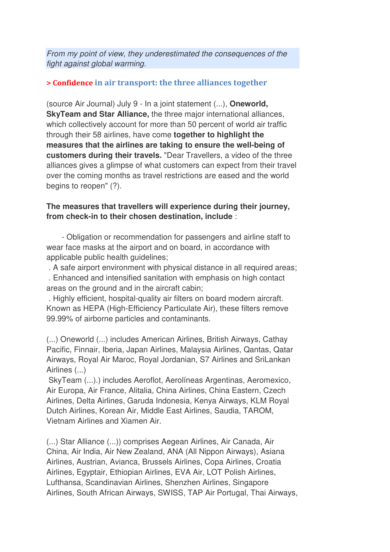*From my point of view, they underestimated the consequences of the fight against global warming.*

#### **> Confidence in air transport: the three alliances together**

(source Air Journal) July 9 - In a joint statement (...), **Oneworld, SkyTeam and Star Alliance,** the three major international alliances, which collectively account for more than 50 percent of world air traffic through their 58 airlines, have come **together to highlight the measures that the airlines are taking to ensure the well-being of customers during their travels.** "Dear Travellers, a video of the three alliances gives a glimpse of what customers can expect from their travel over the coming months as travel restrictions are eased and the world begins to reopen" (?).

#### **The measures that travellers will experience during their journey, from check-in to their chosen destination, include** :

 - Obligation or recommendation for passengers and airline staff to wear face masks at the airport and on board, in accordance with applicable public health guidelines;

. A safe airport environment with physical distance in all required areas;

 . Enhanced and intensified sanitation with emphasis on high contact areas on the ground and in the aircraft cabin;

 . Highly efficient, hospital-quality air filters on board modern aircraft. Known as HEPA (High-Efficiency Particulate Air), these filters remove 99.99% of airborne particles and contaminants.

(...) Oneworld (...) includes American Airlines, British Airways, Cathay Pacific, Finnair, Iberia, Japan Airlines, Malaysia Airlines, Qantas, Qatar Airways, Royal Air Maroc, Royal Jordanian, S7 Airlines and SriLankan Airlines (...)

 SkyTeam (...).) includes Aeroflot, Aerolíneas Argentinas, Aeromexico, Air Europa, Air France, Alitalia, China Airlines, China Eastern, Czech Airlines, Delta Airlines, Garuda Indonesia, Kenya Airways, KLM Royal Dutch Airlines, Korean Air, Middle East Airlines, Saudia, TAROM, Vietnam Airlines and Xiamen Air.

(...) Star Alliance (...)) comprises Aegean Airlines, Air Canada, Air China, Air India, Air New Zealand, ANA (All Nippon Airways), Asiana Airlines, Austrian, Avianca, Brussels Airlines, Copa Airlines, Croatia Airlines, Egyptair, Ethiopian Airlines, EVA Air, LOT Polish Airlines, Lufthansa, Scandinavian Airlines, Shenzhen Airlines, Singapore Airlines, South African Airways, SWISS, TAP Air Portugal, Thai Airways,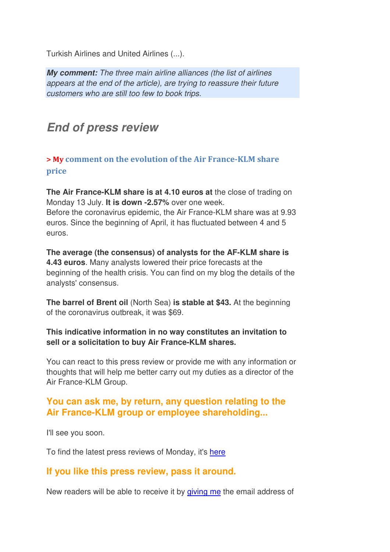Turkish Airlines and United Airlines (...).

**My comment:** *The three main airline alliances (the list of airlines appears at the end of the article), are trying to reassure their future customers who are still too few to book trips.*

## **End of press review**

**> My comment on the evolution of the Air France-KLM share price**

**The Air France-KLM share is at 4.10 euros at** the close of trading on Monday 13 July. **It is down -2.57%** over one week. Before the coronavirus epidemic, the Air France-KLM share was at 9.93 euros. Since the beginning of April, it has fluctuated between 4 and 5 euros.

**The average (the consensus) of analysts for the AF-KLM share is 4.43 euros**. Many analysts lowered their price forecasts at the beginning of the health crisis. You can find on my blog the details of the analysts' consensus.

**The barrel of Brent oil** (North Sea) **is stable at \$43.** At the beginning of the coronavirus outbreak, it was \$69.

#### **This indicative information in no way constitutes an invitation to sell or a solicitation to buy Air France-KLM shares.**

You can react to this press review or provide me with any information or thoughts that will help me better carry out my duties as a director of the Air France-KLM Group.

## **You can ask me, by return, any question relating to the Air France-KLM group or employee shareholding...**

I'll see you soon.

To find the latest press reviews of Monday, it's here

## **If you like this press review, pass it around.**

New readers will be able to receive it by giving me the email address of